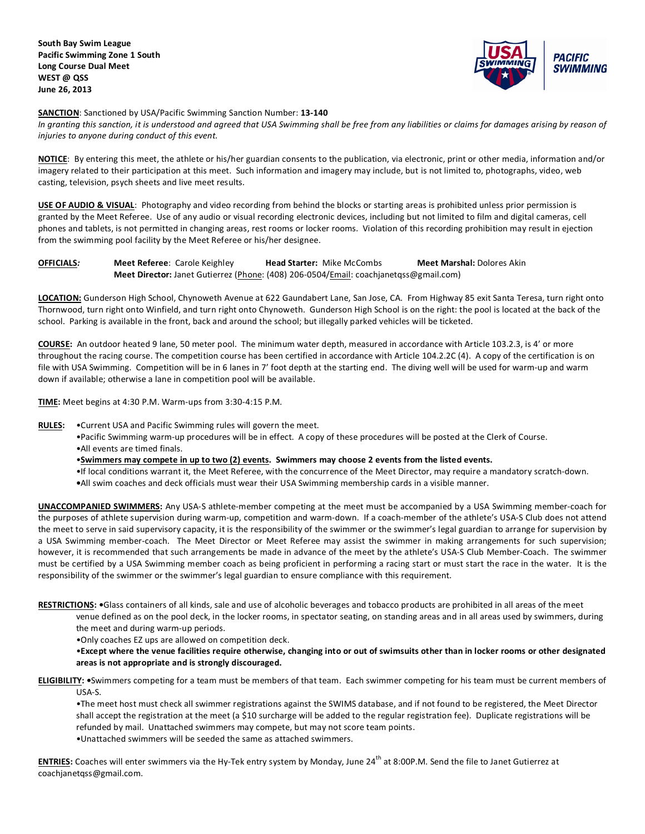

**SANCTION**: Sanctioned by USA/Pacific Swimming Sanction Number: **13-140**

In granting this sanction, it is understood and agreed that USA Swimming shall be free from any liabilities or claims for damages arising by reason of *injuries to anyone during conduct of this event.*

**NOTICE**: By entering this meet, the athlete or his/her guardian consents to the publication, via electronic, print or other media, information and/or imagery related to their participation at this meet. Such information and imagery may include, but is not limited to, photographs, video, web casting, television, psych sheets and live meet results.

**USE OF AUDIO & VISUAL**: Photography and video recording from behind the blocks or starting areas is prohibited unless prior permission is granted by the Meet Referee. Use of any audio or visual recording electronic devices, including but not limited to film and digital cameras, cell phones and tablets, is not permitted in changing areas, rest rooms or locker rooms. Violation of this recording prohibition may result in ejection from the swimming pool facility by the Meet Referee or his/her designee.

**OFFICIALS***:* **Meet Referee**: Carole Keighley **Head Starter:** Mike McCombs **Meet Marshal:** Dolores Akin **Meet Director:** Janet Gutierrez (Phone: (408) 206-0504/Email: coachjanetqss@gmail.com)

**LOCATION:** Gunderson High School, Chynoweth Avenue at 622 Gaundabert Lane, San Jose, CA. From Highway 85 exit Santa Teresa, turn right onto Thornwood, turn right onto Winfield, and turn right onto Chynoweth. Gunderson High School is on the right: the pool is located at the back of the school. Parking is available in the front, back and around the school; but illegally parked vehicles will be ticketed.

**COURSE:** An outdoor heated 9 lane, 50 meter pool. The minimum water depth, measured in accordance with Article 103.2.3, is 4' or more throughout the racing course. The competition course has been certified in accordance with Article 104.2.2C (4). A copy of the certification is on file with USA Swimming. Competition will be in 6 lanes in 7' foot depth at the starting end. The diving well will be used for warm-up and warm down if available; otherwise a lane in competition pool will be available.

**TIME:** Meet begins at 4:30 P.M. Warm-ups from 3:30-4:15 P.M.

**RULES:** •Current USA and Pacific Swimming rules will govern the meet.

- •Pacific Swimming warm-up procedures will be in effect. A copy of these procedures will be posted at the Clerk of Course.
- •All events are timed finals.
- •**Swimmers may compete in up to two (2) events. Swimmers may choose 2 events from the listed events.**
- •If local conditions warrant it, the Meet Referee, with the concurrence of the Meet Director, may require a mandatory scratch-down.
- **•**All swim coaches and deck officials must wear their USA Swimming membership cards in a visible manner.

**UNACCOMPANIED SWIMMERS:** Any USA-S athlete-member competing at the meet must be accompanied by a USA Swimming member-coach for the purposes of athlete supervision during warm-up, competition and warm-down. If a coach-member of the athlete's USA-S Club does not attend the meet to serve in said supervisory capacity, it is the responsibility of the swimmer or the swimmer's legal guardian to arrange for supervision by a USA Swimming member-coach. The Meet Director or Meet Referee may assist the swimmer in making arrangements for such supervision; however, it is recommended that such arrangements be made in advance of the meet by the athlete's USA-S Club Member-Coach. The swimmer must be certified by a USA Swimming member coach as being proficient in performing a racing start or must start the race in the water. It is the responsibility of the swimmer or the swimmer's legal guardian to ensure compliance with this requirement.

**RESTRICTIONS: •**Glass containers of all kinds, sale and use of alcoholic beverages and tobacco products are prohibited in all areas of the meet

venue defined as on the pool deck, in the locker rooms, in spectator seating, on standing areas and in all areas used by swimmers, during the meet and during warm-up periods.

•Only coaches EZ ups are allowed on competition deck.

•**Except where the venue facilities require otherwise, changing into or out of swimsuits other than in locker rooms or other designated areas is not appropriate and is strongly discouraged.**

**ELIGIBILITY: •**Swimmers competing for a team must be members of that team. Each swimmer competing for his team must be current members of USA-S.

•The meet host must check all swimmer registrations against the SWIMS database, and if not found to be registered, the Meet Director shall accept the registration at the meet (a \$10 surcharge will be added to the regular registration fee). Duplicate registrations will be refunded by mail. Unattached swimmers may compete, but may not score team points. •Unattached swimmers will be seeded the same as attached swimmers.

**ENTRIES:** Coaches will enter swimmers via the Hy-Tek entry system by Monday, June 24<sup>th</sup> at 8:00P.M. Send the file to Janet Gutierrez at coachjanetqss@gmail.com.